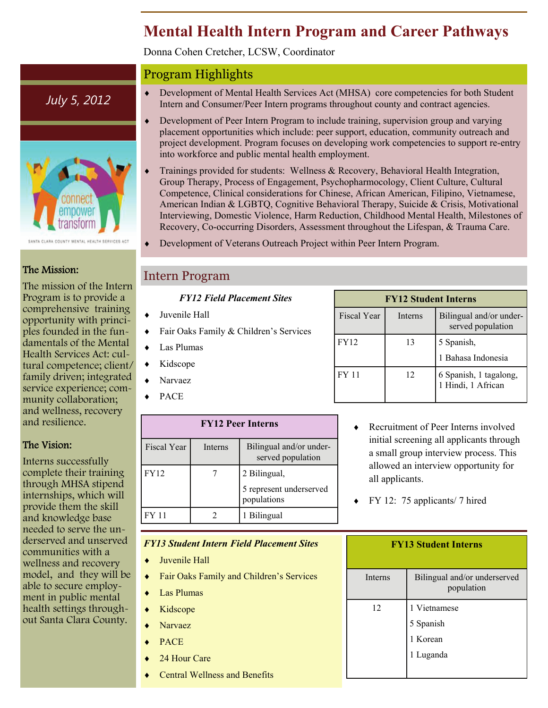# **Mental Health Intern Program and Career Pathways**

Donna Cohen Cretcher, LCSW, Coordinator

# Program Highlights

- *July 5, 2012* **•** Development of Mental Health Services Act (MHSA) core competencies for both Student Intern and Consumer/Peer Intern programs throughout county and contract agencies Intern and Consumer/Peer Intern programs throughout county and contract agencies.
	- Development of Peer Intern Program to include training, supervision group and varying placement opportunities which include: peer support, education, community outreach and project development. Program focuses on developing work competencies to support re-entry into workforce and public mental health employment.
	- Trainings provided for students: Wellness & Recovery, Behavioral Health Integration, Group Therapy, Process of Engagement, Psychopharmocology, Client Culture, Cultural Competence, Clinical considerations for Chinese, African American, Filipino, Vietnamese, American Indian & LGBTQ, Cognitive Behavioral Therapy, Suicide & Crisis, Motivational Interviewing, Domestic Violence, Harm Reduction, Childhood Mental Health, Milestones of Recovery, Co-occurring Disorders, Assessment throughout the Lifespan, & Trauma Care.
	- Development of Veterans Outreach Project within Peer Intern Program.

# Intern Program

#### *FY12 Field Placement Sites*

- Juvenile Hall
- Fair Oaks Family & Children's Services
- Las Plumas
- $\bullet$  Kidscope
- Narvaez
- PACE

| <b>FY12 Peer Interns</b> |         |                                              |  |  |  |
|--------------------------|---------|----------------------------------------------|--|--|--|
| <b>Fiscal Year</b>       | Interns | Bilingual and/or under-<br>served population |  |  |  |
| <b>FY12</b>              |         | 2 Bilingual,                                 |  |  |  |
|                          |         | 5 represent underserved<br>populations       |  |  |  |
| FY 11                    |         | 1 Bilingual                                  |  |  |  |

#### *FY13 Student Intern Field Placement Sites*

- Juvenile Hall
- Fair Oaks Family and Children's Services
- Las Plumas
- $\triangleleft$  Kidscope
- Narvaez
- PACE
- 24 Hour Care
- Central Wellness and Benefits

| <b>FY12 Student Interns</b> |         |                                              |  |  |  |  |
|-----------------------------|---------|----------------------------------------------|--|--|--|--|
| <b>Fiscal Year</b>          | Interns | Bilingual and/or under-<br>served population |  |  |  |  |
| <b>FY12</b>                 | 13      | 5 Spanish,                                   |  |  |  |  |
|                             |         | 1 Bahasa Indonesia                           |  |  |  |  |
| <b>FY 11</b>                | 12      | 6 Spanish, 1 tagalong,<br>1 Hindi, 1 African |  |  |  |  |

- ◆ Recruitment of Peer Interns involved initial screening all applicants through a small group interview process. This allowed an interview opportunity for all applicants.
- $\blacktriangleright$  FY 12: 75 applicants/ 7 hired

| <b>FY13 Student Interns</b> |                                            |  |  |  |
|-----------------------------|--------------------------------------------|--|--|--|
| <b>Interns</b>              | Bilingual and/or underserved<br>population |  |  |  |
| 12                          | 1 Vietnamese                               |  |  |  |
|                             | 5 Spanish                                  |  |  |  |
|                             | 1 Korean                                   |  |  |  |
|                             | 1 Luganda                                  |  |  |  |
|                             |                                            |  |  |  |



### The Mission:

The mission of the Intern Program is to provide a comprehensive training opportunity with principles founded in the fundamentals of the Mental Health Services Act: cultural competence; client/ family driven; integrated service experience; community collaboration; and wellness, recovery and resilience.

### The Vision:

Interns successfully complete their training through MHSA stipend internships, which will provide them the skill and knowledge base needed to serve the underserved and unserved communities with a wellness and recovery model, and they will be able to secure employment in public mental health settings throughout Santa Clara County.